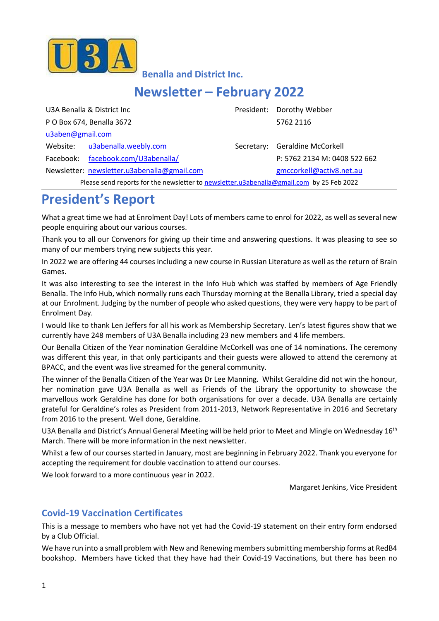

**Benalla and District Inc.**

# **Newsletter – February 2022**

| U3A Benalla & District Inc                                                               |                          |  | President: Dorothy Webber      |  |
|------------------------------------------------------------------------------------------|--------------------------|--|--------------------------------|--|
| P O Box 674, Benalla 3672                                                                |                          |  | 5762 2116                      |  |
| u3aben@gmail.com                                                                         |                          |  |                                |  |
| Website:                                                                                 | u3abenalla.weebly.com    |  | Secretary: Geraldine McCorkell |  |
| Facebook:                                                                                | facebook.com/U3abenalla/ |  | P: 5762 2134 M: 0408 522 662   |  |
| Newsletter: newsletter.u3abenalla@gmail.com                                              |                          |  | gmccorkell@activ8.net.au       |  |
| Please send reports for the newsletter to newsletter.u3abenalla@gmail.com by 25 Feb 2022 |                          |  |                                |  |

# **President's Report**

What a great time we had at Enrolment Day! Lots of members came to enrol for 2022, as well as several new people enquiring about our various courses.

Thank you to all our Convenors for giving up their time and answering questions. It was pleasing to see so many of our members trying new subjects this year.

In 2022 we are offering 44 courses including a new course in Russian Literature as well as the return of Brain Games.

It was also interesting to see the interest in the Info Hub which was staffed by members of Age Friendly Benalla. The Info Hub, which normally runs each Thursday morning at the Benalla Library, tried a special day at our Enrolment. Judging by the number of people who asked questions, they were very happy to be part of Enrolment Day.

I would like to thank Len Jeffers for all his work as Membership Secretary. Len's latest figures show that we currently have 248 members of U3A Benalla including 23 new members and 4 life members.

Our Benalla Citizen of the Year nomination Geraldine McCorkell was one of 14 nominations. The ceremony was different this year, in that only participants and their guests were allowed to attend the ceremony at BPACC, and the event was live streamed for the general community.

The winner of the Benalla Citizen of the Year was Dr Lee Manning. Whilst Geraldine did not win the honour, her nomination gave U3A Benalla as well as Friends of the Library the opportunity to showcase the marvellous work Geraldine has done for both organisations for over a decade. U3A Benalla are certainly grateful for Geraldine's roles as President from 2011-2013, Network Representative in 2016 and Secretary from 2016 to the present. Well done, Geraldine.

U3A Benalla and District's Annual General Meeting will be held prior to Meet and Mingle on Wednesday 16<sup>th</sup> March. There will be more information in the next newsletter.

Whilst a few of our courses started in January, most are beginning in February 2022. Thank you everyone for accepting the requirement for double vaccination to attend our courses.

We look forward to a more continuous year in 2022.

Margaret Jenkins, Vice President

### **Covid-19 Vaccination Certificates**

This is a message to members who have not yet had the Covid-19 statement on their entry form endorsed by a Club Official.

We have run into a small problem with New and Renewing members submitting membership forms at RedB4 bookshop. Members have ticked that they have had their Covid-19 Vaccinations, but there has been no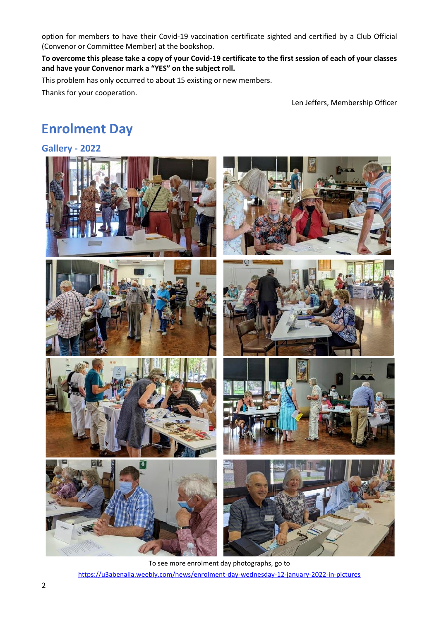option for members to have their Covid-19 vaccination certificate sighted and certified by a Club Official (Convenor or Committee Member) at the bookshop.

**To overcome this please take a copy of your Covid-19 certificate to the first session of each of your classes and have your Convenor mark a "YES" on the subject roll.**

This problem has only occurred to about 15 existing or new members.

Thanks for your cooperation.

Len Jeffers, Membership Officer

# **Enrolment Day**

#### **Gallery - 2022**



To see more enrolment day photographs, go to <https://u3abenalla.weebly.com/news/enrolment-day-wednesday-12-january-2022-in-pictures>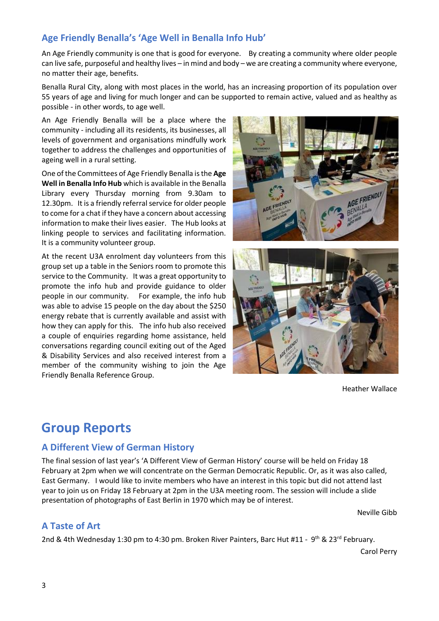### **Age Friendly Benalla's 'Age Well in Benalla Info Hub'**

An Age Friendly community is one that is good for everyone. By creating a community where older people can live safe, purposeful and healthy lives – in mind and body – we are creating a community where everyone, no matter their age, benefits.

Benalla Rural City, along with most places in the world, has an increasing proportion of its population over 55 years of age and living for much longer and can be supported to remain active, valued and as healthy as possible - in other words, to age well.

An Age Friendly Benalla will be a place where the community - including all its residents, its businesses, all levels of government and organisations mindfully work together to address the challenges and opportunities of ageing well in a rural setting.

One of the Committees of Age Friendly Benalla is the **Age Well in Benalla Info Hub** which is available in the Benalla Library every Thursday morning from 9.30am to 12.30pm. It is a friendly referral service for older people to come for a chat if they have a concern about accessing information to make their lives easier. The Hub looks at linking people to services and facilitating information. It is a community volunteer group.

At the recent U3A enrolment day volunteers from this group set up a table in the Seniors room to promote this service to the Community. It was a great opportunity to promote the info hub and provide guidance to older people in our community. For example, the info hub was able to advise 15 people on the day about the \$250 energy rebate that is currently available and assist with how they can apply for this. The info hub also received a couple of enquiries regarding home assistance, held conversations regarding council exiting out of the Aged & Disability Services and also received interest from a member of the community wishing to join the Age Friendly Benalla Reference Group.





Heather Wallace

# **Group Reports**

#### **A Different View of German History**

The final session of last year's 'A Different View of German History' course will be held on Friday 18 February at 2pm when we will concentrate on the German Democratic Republic. Or, as it was also called, East Germany. I would like to invite members who have an interest in this topic but did not attend last year to join us on Friday 18 February at 2pm in the U3A meeting room. The session will include a slide presentation of photographs of East Berlin in 1970 which may be of interest.

Neville Gibb

#### **A Taste of Art**

2nd & 4th Wednesday 1:30 pm to 4:30 pm. Broken River Painters, Barc Hut #11 - 9<sup>th</sup> & 23<sup>rd</sup> February.

Carol Perry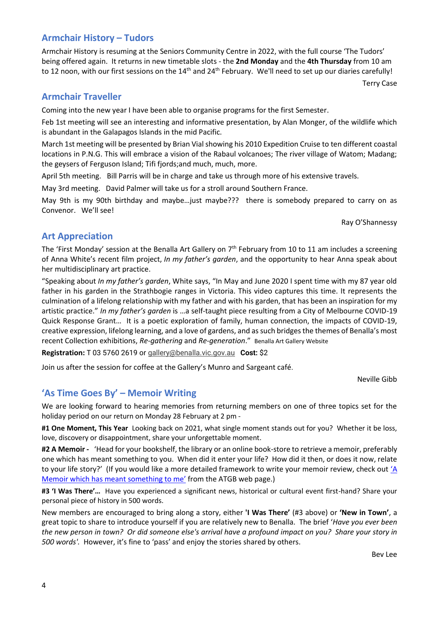### **Armchair History – Tudors**

Armchair History is resuming at the Seniors Community Centre in 2022, with the full course 'The Tudors' being offered again. It returns in new timetable slots - the **2nd Monday** and the **4th Thursday** from 10 am to 12 noon, with our first sessions on the 14<sup>th</sup> and 24<sup>th</sup> February. We'll need to set up our diaries carefully!

Terry Case

#### **Armchair Traveller**

Coming into the new year I have been able to organise programs for the first Semester.

Feb 1st meeting will see an interesting and informative presentation, by Alan Monger, of the wildlife which is abundant in the Galapagos Islands in the mid Pacific.

March 1st meeting will be presented by Brian Vial showing his 2010 Expedition Cruise to ten different coastal locations in P.N.G. This will embrace a vision of the Rabaul volcanoes; The river village of Watom; Madang; the geysers of Ferguson Island; Tifi fjords;and much, much, more.

April 5th meeting. Bill Parris will be in charge and take us through more of his extensive travels.

May 3rd meeting. David Palmer will take us for a stroll around Southern France.

May 9th is my 90th birthday and maybe…just maybe??? there is somebody prepared to carry on as Convenor. We'll see!

Ray O'Shannessy

#### **Art Appreciation**

The 'First Monday' session at the Benalla Art Gallery on 7<sup>th</sup> February from 10 to 11 am includes a screening of Anna White's recent film project, *In my father's garden*, and the opportunity to hear Anna speak about her multidisciplinary art practice.

"Speaking about *In my father's garden*, White says, "In May and June 2020 I spent time with my 87 year old father in his garden in the Strathbogie ranges in Victoria. This video captures this time. It represents the culmination of a lifelong relationship with my father and with his garden, that has been an inspiration for my artistic practice." *In my father's garden* is …a self-taught piece resulting from a City of Melbourne COVID-19 Quick Response Grant… It is a poetic exploration of family, human connection, the impacts of COVID-19, creative expression, lifelong learning, and a love of gardens, and as such bridges the themes of Benalla's most recent Collection exhibitions, *Re-gathering* and *Re-generation*." Benalla Art Gallery Website

**Registration:** T 03 5760 2619 or [gallery@benalla.vic.gov.au](mailto:gallery@benalla.vic.gov.au) **Cost:** \$2

Join us after the session for coffee at the Gallery's Munro and Sargeant café.

Neville Gibb

### **'As Time Goes By' – Memoir Writing**

We are looking forward to hearing memories from returning members on one of three topics set for the holiday period on our return on Monday 28 February at 2 pm -

**#1 One Moment, This Year** Looking back on 2021, what single moment stands out for you? Whether it be loss, love, discovery or disappointment, share your unforgettable moment.

**#2 A Memoir -** 'Head for your bookshelf, the library or an online book-store to retrieve a memoir, preferably one which has meant something to you. When did it enter your life? How did it then, or does it now, relate to your life story?' (If you would like a more detailed framework to write your memoir review, check out ['A](https://u3abenalla.weebly.com/uploads/3/9/6/1/39611571/22_atgb_memoir_of_importance_to_me_framework_suggestion.pdf)  [Memoir which has meant something to me'](https://u3abenalla.weebly.com/uploads/3/9/6/1/39611571/22_atgb_memoir_of_importance_to_me_framework_suggestion.pdf) from the ATGB web page.)

**#3 'I Was There'…** Have you experienced a significant news, historical or cultural event first-hand? Share your personal piece of history in 500 words.

New members are encouraged to bring along a story, either **'I Was There'** (#3 above) or **'New in Town'**, a great topic to share to introduce yourself if you are relatively new to Benalla. The brief '*Have you ever been the new person in town? Or did someone else's arrival have a profound impact on you? Share your story in 500 words'.* However, it's fine to 'pass' and enjoy the stories shared by others.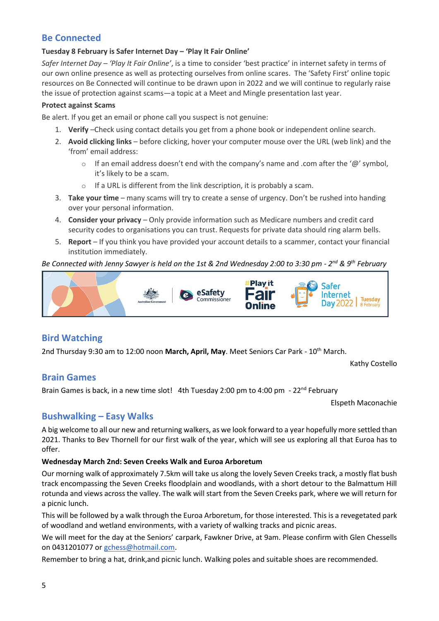#### **Be Connected**

#### **Tuesday 8 February is Safer Internet Day – 'Play It Fair Online'**

*Safer Internet Day – 'Play It Fair Online'*, is a time to consider 'best practice' in internet safety in terms of our own online presence as well as protecting ourselves from online scares. The 'Safety First' online topic resources on Be Connected will continue to be drawn upon in 2022 and we will continue to regularly raise the issue of protection against scams—a topic at a Meet and Mingle presentation last year.

#### **Protect against Scams**

Be alert. If you get an email or phone call you suspect is not genuine:

- 1. **Verify** –Check using contact details you get from a phone book or independent online search.
- 2. **Avoid clicking links** before clicking, hover your computer mouse over the URL (web link) and the 'from' email address:
	- o If an email address doesn't end with the company's name and .com after the ' $@$ ' symbol, it's likely to be a scam.
	- o If a URL is different from the link description, it is probably a scam.
- 3. **Take your time** many scams will try to create a sense of urgency. Don't be rushed into handing over your personal information.
- 4. **Consider your privacy** Only provide information such as Medicare numbers and credit card security codes to organisations you can trust. Requests for private data should ring alarm bells.
- 5. **Report** If you think you have provided your account details to a scammer, contact your financial institution immediately.

#### Be Connected with Jenny Sawyer is held on the 1st & 2nd Wednesday 2:00 to 3:30 pm - 2<sup>nd</sup> & 9<sup>th</sup> February



#### **Bird Watching**

2nd Thursday 9:30 am to 12:00 noon **March, April, May**. Meet Seniors Car Park - 10th March.

Kathy Costello

#### **Brain Games**

Brain Games is back, in a new time slot! 4th Tuesday 2:00 pm to 4:00 pm - 22<sup>nd</sup> February

Elspeth Maconachie

#### **Bushwalking – Easy Walks**

A big welcome to all our new and returning walkers, as we look forward to a year hopefully more settled than 2021. Thanks to Bev Thornell for our first walk of the year, which will see us exploring all that Euroa has to offer.

#### **Wednesday March 2nd: Seven Creeks Walk and Euroa Arboretum**

Our morning walk of approximately 7.5km will take us along the lovely Seven Creeks track, a mostly flat bush track encompassing the Seven Creeks floodplain and woodlands, with a short detour to the Balmattum Hill rotunda and views across the valley. The walk will start from the Seven Creeks park, where we will return for a picnic lunch.

This will be followed by a walk through the Euroa Arboretum, for those interested. This is a revegetated park of woodland and wetland environments, with a variety of walking tracks and picnic areas.

We will meet for the day at the Seniors' carpark, Fawkner Drive, at 9am. Please confirm with Glen Chessells on 0431201077 or [gchess@hotmail.com.](mailto:gchess@hotmail.com)

Remember to bring a hat, drink,and picnic lunch. Walking poles and suitable shoes are recommended.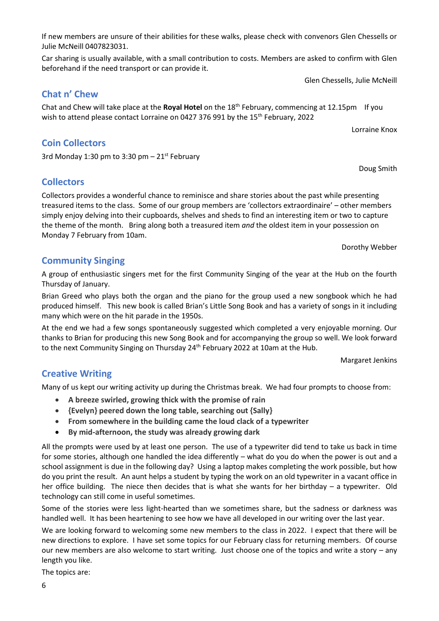Monday 7 February from 10am. Dorothy Webber

## **Community Singing**

**Chat n' Chew**

**Coin Collectors**

**Collectors**

3rd Monday 1:30 pm to 3:30 pm  $-$  21st February

A group of enthusiastic singers met for the first Community Singing of the year at the Hub on the fourth Thursday of January.

Brian Greed who plays both the organ and the piano for the group used a new songbook which he had produced himself. This new book is called Brian's Little Song Book and has a variety of songs in it including many which were on the hit parade in the 1950s.

At the end we had a few songs spontaneously suggested which completed a very enjoyable morning. Our thanks to Brian for producing this new Song Book and for accompanying the group so well. We look forward to the next Community Singing on Thursday 24<sup>th</sup> February 2022 at 10am at the Hub.

Margaret Jenkins

## **Creative Writing**

Many of us kept our writing activity up during the Christmas break. We had four prompts to choose from:

- **A breeze swirled, growing thick with the promise of rain**
- **{Evelyn} peered down the long table, searching out {Sally}**
- **From somewhere in the building came the loud clack of a typewriter**
- **By mid-afternoon, the study was already growing dark**

All the prompts were used by at least one person. The use of a typewriter did tend to take us back in time for some stories, although one handled the idea differently – what do you do when the power is out and a school assignment is due in the following day? Using a laptop makes completing the work possible, but how do you print the result. An aunt helps a student by typing the work on an old typewriter in a vacant office in her office building. The niece then decides that is what she wants for her birthday – a typewriter. Old technology can still come in useful sometimes.

Some of the stories were less light-hearted than we sometimes share, but the sadness or darkness was handled well. It has been heartening to see how we have all developed in our writing over the last year.

We are looking forward to welcoming some new members to the class in 2022. I expect that there will be new directions to explore. I have set some topics for our February class for returning members. Of course our new members are also welcome to start writing. Just choose one of the topics and write a story – any length you like.

The topics are:

### If new members are unsure of their abilities for these walks, please check with convenors Glen Chessells or Julie McNeill 0407823031.

Chat and Chew will take place at the **Royal Hotel** on the 18th February, commencing at 12.15pm If you

Collectors provides a wonderful chance to reminisce and share stories about the past while presenting treasured items to the class. Some of our group members are 'collectors extraordinaire' – other members simply enjoy delving into their cupboards, shelves and sheds to find an interesting item or two to capture the theme of the month. Bring along both a treasured item *and* the oldest item in your possession on

wish to attend please contact Lorraine on 0427 376 991 by the 15<sup>th</sup> February, 2022

Car sharing is usually available, with a small contribution to costs. Members are asked to confirm with Glen beforehand if the need transport or can provide it.

Glen Chessells, Julie McNeill

Lorraine Knox

Doug Smith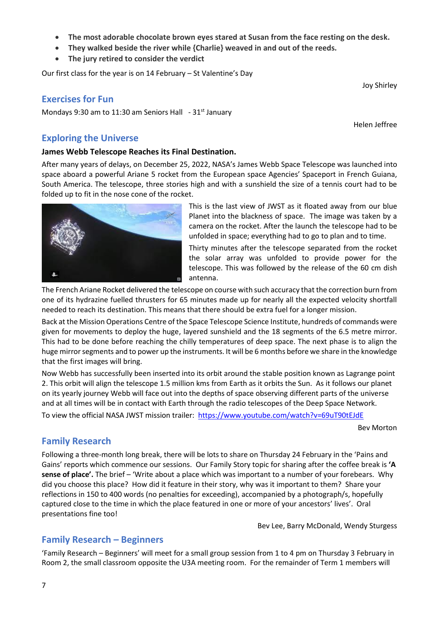space aboard a powerful Ariane 5 rocket from the European space Agencies' Spaceport in French Guiana,

South America. The telescope, three stories high and with a sunshield the size of a tennis court had to be

# **Exercises for Fun**

Mondays 9:30 am to 11:30 am Seniors Hall  $-31$ <sup>st</sup> January

Our first class for the year is on 14 February – St Valentine's Day

• **The jury retired to consider the verdict**

#### **Exploring the Universe**

#### **James Webb Telescope Reaches its Final Destination.**

After many years of delays, on December 25, 2022, NASA's James Webb Space Telescope was launched into folded up to fit in the nose cone of the rocket.

> of JWST as it floated away from our blue Planet into the blackness of space. The image was taken by a camera on the rocket. After the launch the telescope had to be unfolded in space; everything had to go to plan and to time.

> Thirty minutes after the telescope separated from the rocket the solar array was unfolded to provide power for the telescope. This was followed by the release of the 60 cm dish antenna.

The French Ariane Rocket delivered the telescope on course with such accuracy that the correction burn from one of its hydrazine fuelled thrusters for 65 minutes made up for nearly all the expected velocity shortfall needed to reach its destination. This means that there should be extra fuel for a longer mission.

Back at the Mission Operations Centre of the Space Telescope Science Institute, hundreds of commands were given for movements to deploy the huge, layered sunshield and the 18 segments of the 6.5 metre mirror. This had to be done before reaching the chilly temperatures of deep space. The next phase is to align the huge mirror segments and to power up the instruments. It will be 6 months before we share in the knowledge that the first images will bring.

Now Webb has successfully been inserted into its orbit around the stable position known as Lagrange point 2. This orbit will align the telescope 1.5 million kms from Earth as it orbits the Sun. As it follows our planet on its yearly journey Webb will face out into the depths of space observing different parts of the universe and at all times will be in contact with Earth through the radio telescopes of the Deep Space Network.

To view the official NASA JWST mission trailer: <https://www.youtube.com/watch?v=69uT90tEJdE>

Bev Morton

### **Family Research**

7

Following a three-month long break, there will be lots to share on Thursday 24 February in the 'Pains and Gains' reports which commence our sessions. Our Family Story topic for sharing after the coffee break is **'A sense of place'.** The brief – 'Write about a place which was important to a number of your forebears. Why did you choose this place? How did it feature in their story, why was it important to them? Share your reflections in 150 to 400 words (no penalties for exceeding), accompanied by a photograph/s, hopefully captured close to the time in which the place featured in one or more of your ancestors' lives'. Oral presentations fine too!

Bev Lee, Barry McDonald, Wendy Sturgess

## **Family Research – Beginners**

'Family Research – Beginners' will meet for a small group session from 1 to 4 pm on Thursday 3 February in Room 2, the small classroom opposite the U3A meeting room. For the remainder of Term 1 members will

|  | This is the last view |
|--|-----------------------|
|  |                       |

• **They walked beside the river while {Charlie} weaved in and out of the reeds.**





Helen Jeffree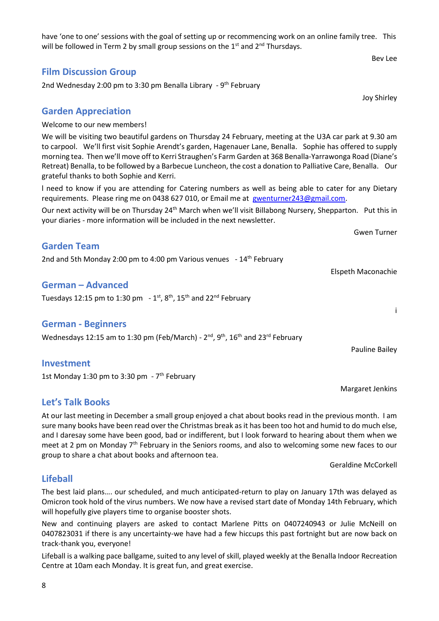have 'one to one' sessions with the goal of setting up or recommencing work on an online family tree. This will be followed in Term 2 by small group sessions on the  $1<sup>st</sup>$  and  $2<sup>nd</sup>$  Thursdays.

#### **Film Discussion Group**

2nd Wednesday 2:00 pm to 3:30 pm Benalla Library - 9<sup>th</sup> February

#### **Garden Appreciation**

Welcome to our new members!

We will be visiting two beautiful gardens on Thursday 24 February, meeting at the U3A car park at 9.30 am to carpool. We'll first visit Sophie Arendt's garden, Hagenauer Lane, Benalla. Sophie has offered to supply morning tea. Then we'll move off to Kerri Straughen's Farm Garden at 368 Benalla-Yarrawonga Road (Diane's Retreat) Benalla, to be followed by a Barbecue Luncheon, the cost a donation to Palliative Care, Benalla. Our grateful thanks to both Sophie and Kerri.

l need to know if you are attending for Catering numbers as well as being able to cater for any Dietary requirements. Please ring me on 0438 627 010, or Email me at [gwenturner243@gmail.com.](mailto:gwenturner243@gmail.com)

Our next activity will be on Thursday 24<sup>th</sup> March when we'll visit Billabong Nursery, Shepparton. Put this in your diaries - more information will be included in the next newsletter.

#### **Garden Team**

2nd and 5th Monday 2:00 pm to 4:00 pm Various venues - 14<sup>th</sup> February

#### **German – Advanced**

Tuesdays 12:15 pm to 1:30 pm  $-1$ <sup>st</sup>, 8<sup>th</sup>, 15<sup>th</sup> and 22<sup>nd</sup> February

#### **German - Beginners**

Wednesdays 12:15 am to 1:30 pm (Feb/March) -  $2<sup>nd</sup>$ ,  $9<sup>th</sup>$ , 16<sup>th</sup> and 23<sup>rd</sup> February

#### **Investment**

1st Monday 1:30 pm to 3:30 pm - 7<sup>th</sup> February

#### **Let's Talk Books**

At our last meeting in December a small group enjoyed a chat about books read in the previous month. I am sure many books have been read over the Christmas break as it has been too hot and humid to do much else, and I daresay some have been good, bad or indifferent, but I look forward to hearing about them when we meet at 2 pm on Monday 7<sup>th</sup> February in the Seniors rooms, and also to welcoming some new faces to our group to share a chat about books and afternoon tea.

Geraldine McCorkell

## **Lifeball**

The best laid plans…. our scheduled, and much anticipated-return to play on January 17th was delayed as Omicron took hold of the virus numbers. We now have a revised start date of Monday 14th February, which will hopefully give players time to organise booster shots.

New and continuing players are asked to contact Marlene Pitts on 0407240943 or Julie McNeill on 0407823031 if there is any uncertainty-we have had a few hiccups this past fortnight but are now back on track-thank you, everyone!

Lifeball is a walking pace ballgame, suited to any level of skill, played weekly at the Benalla Indoor Recreation Centre at 10am each Monday. It is great fun, and great exercise.

#### Bev Lee

Joy Shirley

Elspeth Maconachie

Gwen Turner

i

Pauline Bailey

Margaret Jenkins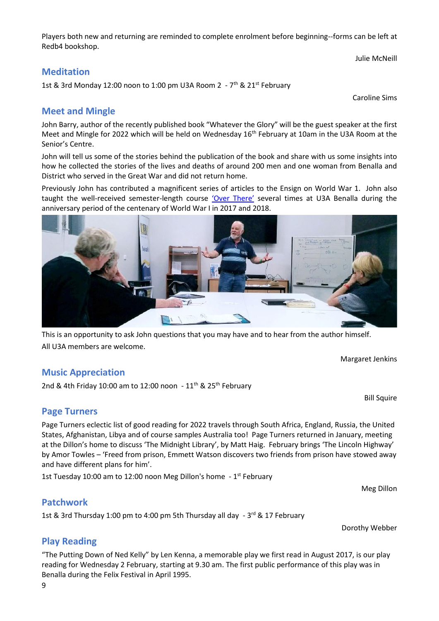Players both new and returning are reminded to complete enrolment before beginning--forms can be left at Redb4 bookshop.

Julie McNeill

#### **Meditation**

1st & 3rd Monday 12:00 noon to 1:00 pm U3A Room 2  $-7$ <sup>th</sup> & 21<sup>st</sup> February

Caroline Sims

#### **Meet and Mingle**

John Barry, author of the recently published book "Whatever the Glory" will be the guest speaker at the first Meet and Mingle for 2022 which will be held on Wednesday 16<sup>th</sup> February at 10am in the U3A Room at the Senior's Centre.

John will tell us some of the stories behind the publication of the book and share with us some insights into how he collected the stories of the lives and deaths of around 200 men and one woman from Benalla and District who served in the Great War and did not return home.

Previously John has contributed a magnificent series of articles to the Ensign on World War 1. John also taught the well-received semester-length course ['Over There'](https://u3abenalla.weebly.com/over-there) several times at U3A Benalla during the anniversary period of the centenary of World War I in 2017 and 2018.



This is an opportunity to ask John questions that you may have and to hear from the author himself. All U3A members are welcome.

Margaret Jenkins

Bill Squire

Meg Dillon

Dorothy Webber

### **Music Appreciation**

2nd & 4th Friday 10:00 am to 12:00 noon -  $11<sup>th</sup>$  & 25<sup>th</sup> February

### **Page Turners**

Page Turners eclectic list of good reading for 2022 travels through South Africa, England, Russia, the United States, Afghanistan, Libya and of course samples Australia too! Page Turners returned in January, meeting at the Dillon's home to discuss 'The Midnight Library', by Matt Haig. February brings 'The Lincoln Highway' by Amor Towles – 'Freed from prison, Emmett Watson discovers two friends from prison have stowed away and have different plans for him'.

1st Tuesday 10:00 am to 12:00 noon Meg Dillon's home - 1<sup>st</sup> February

#### **Patchwork**

1st & 3rd Thursday 1:00 pm to 4:00 pm 5th Thursday all day - 3<sup>rd</sup> & 17 February

### **Play Reading**

"The Putting Down of Ned Kelly" by Len Kenna, a memorable play we first read in August 2017, is our play reading for Wednesday 2 February, starting at 9.30 am. The first public performance of this play was in Benalla during the Felix Festival in April 1995.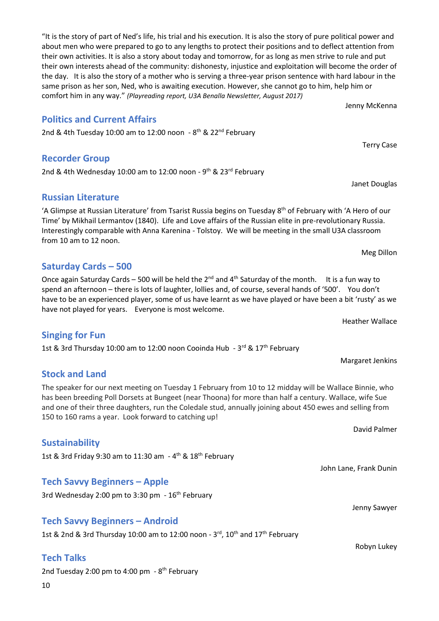"It is the story of part of Ned's life, his trial and his execution. It is also the story of pure political power and about men who were prepared to go to any lengths to protect their positions and to deflect attention from their own activities. It is also a story about today and tomorrow, for as long as men strive to rule and put their own interests ahead of the community: dishonesty, injustice and exploitation will become the order of the day. It is also the story of a mother who is serving a three-year prison sentence with hard labour in the same prison as her son, Ned, who is awaiting execution. However, she cannot go to him, help him or comfort him in any way." *(Playreading report, U3A Benalla Newsletter, August 2017)*

## **Politics and Current Affairs**

2nd & 4th Tuesday 10:00 am to 12:00 noon - 8<sup>th</sup> & 22<sup>nd</sup> February

## **Recorder Group**

2nd & 4th Wednesday 10:00 am to 12:00 noon - 9<sup>th</sup> & 23<sup>rd</sup> February

## **Russian Literature**

'A Glimpse at Russian Literature' from Tsarist Russia begins on Tuesday  $8<sup>th</sup>$  of February with 'A Hero of our Time' by Mikhail Lermantov (1840). Life and Love affairs of the Russian elite in pre-revolutionary Russia. Interestingly comparable with Anna Karenina - Tolstoy. We will be meeting in the small U3A classroom from 10 am to 12 noon.

## **Saturday Cards – 500**

Once again Saturday Cards – 500 will be held the  $2^{nd}$  and  $4^{th}$  Saturday of the month. It is a fun way to spend an afternoon – there is lots of laughter, lollies and, of course, several hands of '500'. You don't have to be an experienced player, some of us have learnt as we have played or have been a bit 'rusty' as we have not played for years. Everyone is most welcome.

**Singing for Fun**

1st & 3rd Thursday 10:00 am to 12:00 noon Cooinda Hub - 3<sup>rd</sup> & 17<sup>th</sup> February

## **Stock and Land**

The speaker for our next meeting on Tuesday 1 February from 10 to 12 midday will be Wallace Binnie, who has been breeding Poll Dorsets at Bungeet (near Thoona) for more than half a century. Wallace, wife Sue and one of their three daughters, run the Coledale stud, annually joining about 450 ewes and selling from 150 to 160 rams a year. Look forward to catching up!

**Sustainability**

1st & 3rd Friday 9:30 am to 11:30 am - 4<sup>th</sup> & 18<sup>th</sup> February

## **Tech Savvy Beginners – Apple**

3rd Wednesday 2:00 pm to 3:30 pm  $-16^{th}$  February

### **Tech Savvy Beginners – Android**

1st & 2nd & 3rd Thursday 10:00 am to 12:00 noon -  $3^{rd}$ , 10<sup>th</sup> and  $17^{th}$  February

## **Tech Talks**

2nd Tuesday 2:00 pm to 4:00 pm - 8<sup>th</sup> February

Heather Wallace

Margaret Jenkins

David Palmer

John Lane, Frank Dunin

Jenny Sawyer

Robyn Lukey

Terry Case

Janet Douglas

Meg Dillon

Jenny McKenna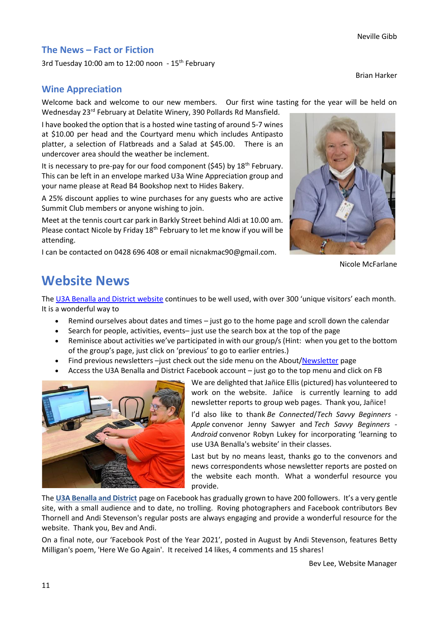#### **The News – Fact or Fiction**

3rd Tuesday 10:00 am to 12:00 noon - 15<sup>th</sup> February

Brian Harker

#### **Wine Appreciation**

Welcome back and welcome to our new members. Our first wine tasting for the year will be held on Wednesday 23rd February at Delatite Winery, 390 Pollards Rd Mansfield.

I have booked the option that is a hosted wine tasting of around 5-7 wines at \$10.00 per head and the Courtyard menu which includes Antipasto platter, a selection of Flatbreads and a Salad at \$45.00. There is an undercover area should the weather be inclement.

It is necessary to pre-pay for our food component ( $545$ ) by  $18<sup>th</sup>$  February. This can be left in an envelope marked U3a Wine Appreciation group and your name please at Read B4 Bookshop next to Hides Bakery.

A 25% discount applies to wine purchases for any guests who are active Summit Club members or anyone wishing to join.

Meet at the tennis court car park in Barkly Street behind Aldi at 10.00 am. Please contact Nicole by Friday 18<sup>th</sup> February to let me know if you will be attending.

I can be contacted on 0428 696 408 or email nicnakmac90@gmail.com.



Nicole McFarlane

# **Website News**

The [U3A Benalla and District website](https://u3abenalla.weebly.com/) continues to be well used, with over 300 'unique visitors' each month. It is a wonderful way to

- Remind ourselves about dates and times just go to the home page and scroll down the calendar
- Search for people, activities, events– just use the search box at the top of the page
- Reminisce about activities we've participated in with our group/s (Hint: when you get to the bottom of the group's page, just click on 'previous' to go to earlier entries.)
- Find previous newsletters -just check out the side menu on the About[/Newsletter](https://u3abenalla.weebly.com/newsletter) page
- Access the U3A Benalla and District Facebook account just go to the top menu and click on FB



We are delighted that Jañice Ellis (pictured) has volunteered to work on the website. Jañice is currently learning to add newsletter reports to group web pages. Thank you, Jañice!

I'd also like to thank *Be Connected*/*Tech Savvy Beginners - Apple* convenor Jenny Sawyer and *Tech Savvy Beginners - Android* convenor Robyn Lukey for incorporating 'learning to use U3A Benalla's website' in their classes.

Last but by no means least, thanks go to the convenors and news correspondents whose newsletter reports are posted on the website each month. What a wonderful resource you provide.

The **[U3A Benalla and District](https://www.facebook.com/u3abenalla/)** page on Facebook has gradually grown to have 200 followers. It's a very gentle site, with a small audience and to date, no trolling. Roving photographers and Facebook contributors Bev Thornell and Andi Stevenson's regular posts are always engaging and provide a wonderful resource for the website. Thank you, Bev and Andi.

On a final note, our 'Facebook Post of the Year 2021', posted in August by Andi Stevenson, features Betty Milligan's poem, 'Here We Go Again'. It received 14 likes, 4 comments and 15 shares!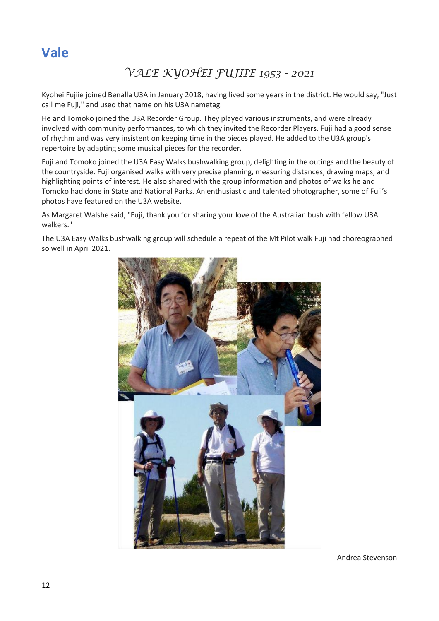# **Vale**

# *VALE KYOHEI FUJIIE 1953 - 2021*

Kyohei Fujiie joined Benalla U3A in January 2018, having lived some years in the district. He would say, "Just call me Fuji," and used that name on his U3A nametag.

He and Tomoko joined the U3A Recorder Group. They played various instruments, and were already involved with community performances, to which they invited the Recorder Players. Fuji had a good sense of rhythm and was very insistent on keeping time in the pieces played. He added to the U3A group's repertoire by adapting some musical pieces for the recorder.

Fuji and Tomoko joined the U3A Easy Walks bushwalking group, delighting in the outings and the beauty of the countryside. Fuji organised walks with very precise planning, measuring distances, drawing maps, and highlighting points of interest. He also shared with the group information and photos of walks he and Tomoko had done in State and National Parks. An enthusiastic and talented photographer, some of Fuji's photos have featured on the U3A website.

As Margaret Walshe said, "Fuji, thank you for sharing your love of the Australian bush with fellow U3A walkers."

The U3A Easy Walks bushwalking group will schedule a repeat of the Mt Pilot walk Fuji had choreographed so well in April 2021.



Andrea Stevenson